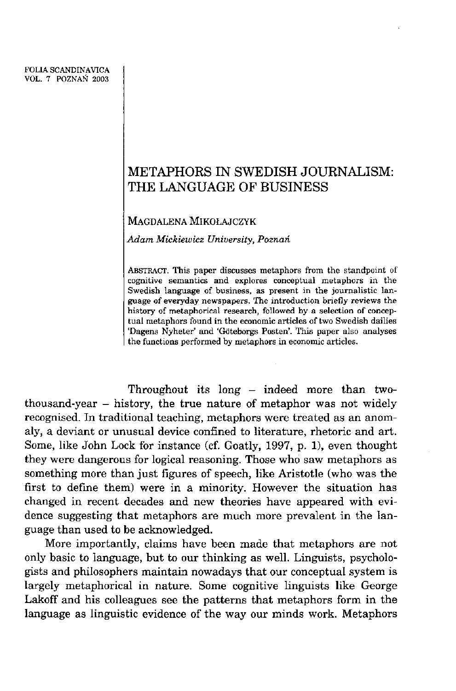# **METAPHOR S I N SWEDIS H JOURNALISM: T H E LANGUAG E O F BUSINES S**

**MAGDALEN A MIKOŁAJCZY K** 

*Adam Mickiewicz University, Poznań* 

**ABSTRACT . This paper discusses metaphors from the standpoint of cognitive semantics and explores conceptual metaphors in the Swedish language of business, as present in the joumalistic language of everyday newspapers. The introduction briefly reviews the**  history of metaphorical research, followed by a selection of concep**tual metaphors found in the economic articles of two Swedish dailies**  'Dagens Nyheter' and 'Göteborgs Posten'. This paper also analyses **the functions performed by metaphors in economic articles.** 

Throughout its long - indeed more than twothousand-year  $-$  history, the true nature of metaphor was not widely recognised. In traditional teaching, metaphors were treated as an anomaly, a deviant or unusual device confined to literaturę, rhetoric and art. Some, like John Lock for instance (cf. Goatly, 1997, p. 1), even thought they were dangerous for logical reasoning. Those who saw metaphors as something more than just figures of speech, like Aristotle (who was the first to define them) were in a minority. However the situation has changed in recent decades and new theories have appeared with evidence suggesting that metaphors are much more prevalent in the language than used to be acknowledged.

More importantly, claims have been made that metaphors are not only basie to language, but to our thinking as well. Linguists, psychologists and philosophers maintain nowadays that our conceptual system is largely metaphorical in naturę. Some eognitive linguists like George Lakoff and his colleagues see the patterns that metaphors form in the language as linguistic evidence of the way our minds work. Metaphors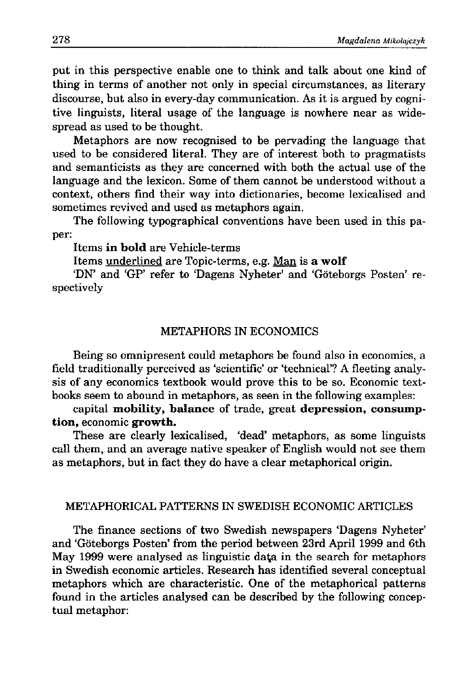put in this perspective enable one to think and talk about one kind of thing in terms of another not only in special circumstances, as literary discourse, but also in every-day communication. As it is argued by cognitive linguists, literał usage of the language is nowhere near as widespread as used to be thought.

Metaphors are now recognised to be pervading the language that used to be considered literał. They are of interest both to pragmatists and semanticists as they are concerned with both the actual use of the language and the lexicon. Some of them cannot be understood without a context, others find their way into dictionaries, become lexicalised and sometimes revived and used as metaphors again.

The following typographical conventions have been used in this paper:

Items **in bold** are Vehicle-terms

Items underlined are Topic-terms, e.g. Man is **a wolf** 

'DN' and 'GP' refer to 'Dagens Nyheter' and 'Goteborgs Posten' respectively

### METAPHORS IN ECONOMICS

Being so omnipresent could metaphors be found also in economics, a field traditionally perceived as 'scientific' or 'technical'? A fleeting analysis of any economics textbook would prove this to be so. Economic textbooks seem to abound in metaphors, as seen in the following examples:

capital **mobility, balance** of trade, great **depression, consumption,** economic **growth.** 

These are clearly lexicalised, 'dead' metaphors, as some linguists cali them, and an average native speaker of English would not see them as metaphors, but in fact they do have a clear metaphorical origin.

### METAPHORICAL PATTERNS IN SWEDISH ECONOMIC ARTICLES

The finance sections of two Swedish newspapers 'Dagens Nyheter' and 'Goteborgs Posten' from the period between 23rd April 1999 and 6th May 1999 were analysed as linguistic da^a in the search for metaphors in Swedish economic articles. Research has identified several conceptual metaphors which are characteristic. One of the metaphorical patterns found in the articles analysed can be described by the following conceptual metaphor: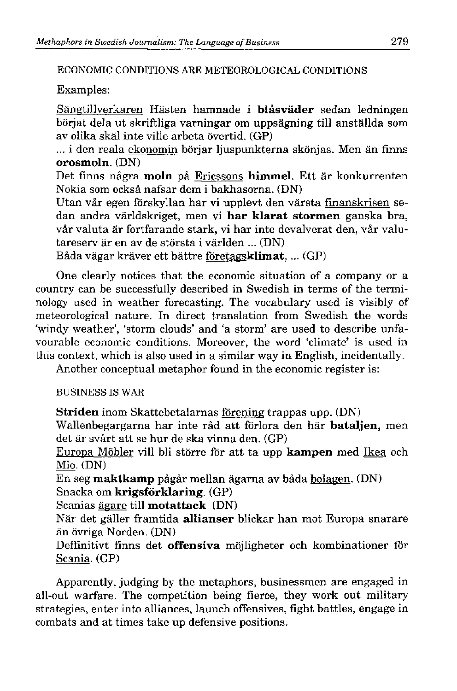**ECONOMI C CONDITION S AR E METEOROLOGICA L CONDITION S** 

Examples:

Sangtillyerkaren Hasten hamnade i **blasvader** sedan ledningen börjat dela ut skriftliga varningar om uppsägning till anställda som av olika skal inte ville arbeta óvertid. (GP)

... i den reala ekonomin börjar ljuspunkterna skönjas. Men än finns **orosmoln.** (DN)

Det finns några moln på Ericssons himmel. Ett är konkurrenten Nokia som ocksa nafsar dem i bakhasorna. (DN)

Utan vår egen förskyllan har vi upplevt den värsta finanskrisen sedan andra världskriget, men vi **har klarat stormen** ganska bra, vår valuta är fortfarande stark, vi har inte devalverat den, vår valutaresery är en av de största i världen ... (DN)

Bada vagar kraver ett battre fóretagsklimat, ... (GP)

One clearly notices that the economic situation of a company or a country can be successfully described in Swedish in terms of the terminology used in weather forecasting. The vocabulary used is visibly of meteorological nature. In direct translation from Swedish the words 'windy weather', 'storm clouds' and 'a storm' are used to describe unfavourable economic conditions. Moreover, the word 'climate' is used in this context, which is also used in a similar way in English, incidentally.

Another conceptual metaphor found in the economic register is:

**BUSINES S I S WA R** 

**Striden** inom Skattebetalarnas fórening trappas upp. (DN)

Wallenbegargarna har inte rad att fórlora den har **bataljen,** men det ar svart att se hur de ska vinna den. (GP)

Europa Mobler viii bli storre fór att ta upp **kampen** med Ikea och Mio. (DN)

En seg **maktkamp** pågår mellan ägarna av båda bolagen. (DN) Snacka om **krigsforklaring.** (GP)

Scanias ägare till **motattack** (DN)

Nar det galler framtida **allianser** blickar han mot Europa snarare än övriga Norden. (DN)

Deffinitivt finns det **offensiva** möjligheter och kombinationer för Scania. (GP)

Apparently, judging by the metaphors, businessmen are engaged in all-out warfare. The competition being fierce, they work out military strategies, enter into alliances, launch offensives, fight battles, engage in combats and at times take up defensive positions.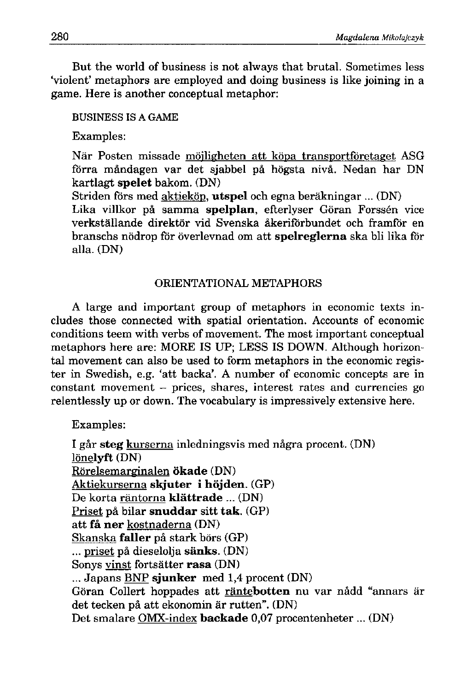But the world of business is not always that brutal. Sometimes less 'yiolent' metaphors are employed and doing business is like joining in a game. Here is another conceptual metaphor:

### **BUSINESS IS A GAME**

Examples:

När Posten missade möjligheten att köpa transportföretaget ASG förra måndagen var det sjabbel på högsta nivå. Nedan har DN kartlagt **spelet** bakom. (DN)

Striden fórs med aktiekóp. **utspel** och egna berakningar ... (DN)

Lika villkor på samma spelplan, efterlyser Göran Forssén vice yerkstallande direktor yid Syenska akerifórbundet och framfór en branschs nódrop fór oyerleynad om att **spelreglerna** ska bli lika fór alla. (DN)

## ORIENTATIONAL METAPHORS

A large and important group of metaphors in economic texts includes those connected with spatial orientation. Accounts of economic conditions teem with yerbs of moyement. The most important conceptual metaphors here are: MORE IS UP; LESS IS DOWN. Although horizontal movement can also be used to form metaphors in the economic register in Swedish, e.g. 'att backa'. A number of economic concepts are in constant moyement - prices, shares, interest rates and currencies go relentlessly up or down. The vocabulary is impressively extensive here.

Examples:

I gar **steg** kurserna inledningsyis med nagra procent. (DN) lónelyft (DN) Rórelsemarginalen **okade** (DN) Aktiekurserna **slguter i hójden.** (GP) De korta rantorna **klattrade** ... (DN) Priset pa bilar **snuddar** sitt **tak.** (GP) att **fa ner** kostnaderna (DN) Skanska **faller** pa stark bórs (GP) ... priset pa dieselolja **sanks.** (DN) Sonys yinst fortsatter **rasa** (DN) ... Japans BNP **sjunker** med 1,4 procent (DN) Göran Collert hoppades att räntebotten nu var nådd "annars är det tecken på att ekonomin är rutten". (DN) Det smalare OMX-index **backade** 0,07 procentenheter ... (DN)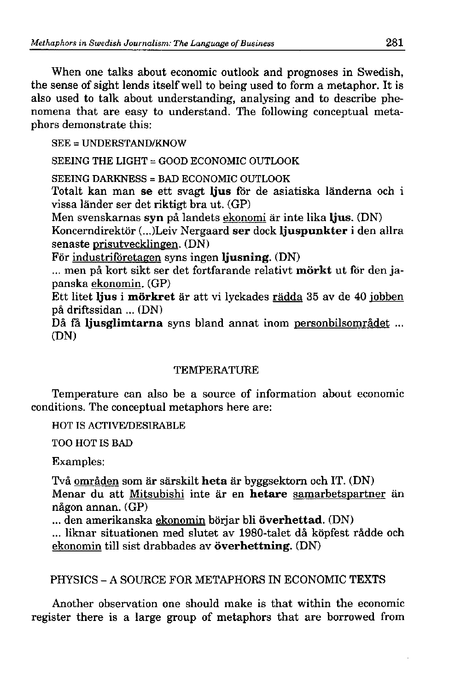When one talks about economic outlook and prognoses in Swedish, the sense of sight lends itself well to being used to form a metaphor. It is also used to talk about understanding, analysing and to describe phenomena that are easy to understand. The following conceptual metaphors demonstrate this:

**S E E = UNDERSTAND/KNO W** 

**SEEING THE LIGHT = GOOD ECONOMIC OUTLOOK** 

**SEEING DARKNESS = BAD ECONOMIC OUTLOOK** 

Totalt kan man **se** ett svagt **Ijus** fór de asiatiska landerna och i yissa lander ser det riktigt bra ut. (GP)

Men svenskarnas **syn** pa landets ekonomi ar inte lika **Ijus.** (DN) Koncerndirektor (...)Leiv Nergaard **ser** dock **Ijuspunkter** i den allra senaste prisutyecklingen. (DN)

For industrifóretagen syns ingen **Ijusning.** (DN)

... men pa kort sikt ser det fortfarande relatiyt **morkt** ut fór den japanska ekonomin. (GP)

Ett litet **Ijus** i **morkret** ar att yi lyckades radda 35 ay de 40 iobben pa driftssidan ... (DN)

Då få ljusglimtarna syns bland annat inom personbilsområdet ... (DN)

## **TEMPERATURE**

Temperature can also be a source of information about economic conditions. The conceptual metaphors here are:

**HOT IS ACTIVE/DESIRABLE** 

**T O O HO T I S BA D** 

Examples:

Tya omraden som ar sarskilt **heta** ar byggsektorn och IT. (DN) Menar du att Mitsubishi inte ar en **hetare** samarbetspartner an någon annan. (GP)

... den amerikanska ekonomin borjar bli **óverhettad.** (DN)

... liknar situationen med slutet av 1980-talet då köpfest rådde och ekonomin till sist drabbades av **överhettning**. (DN)

# PHYSICS - A SOURCE FOR METAPHORS IN ECONOMIC TEXTS

Another obseryation one should make is that within the economic register there is a large group of metaphors that are borrowed from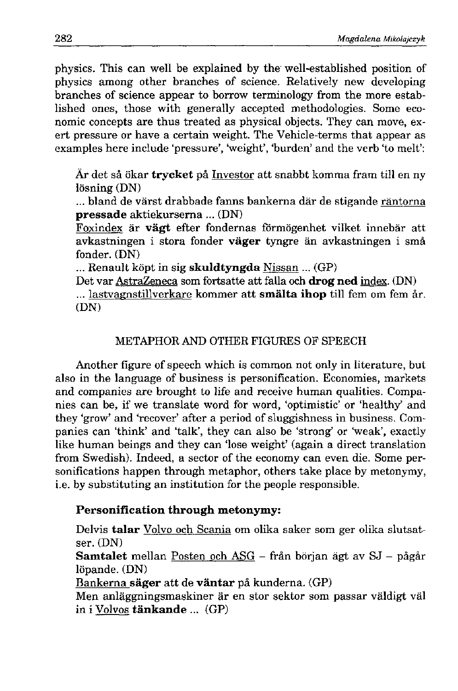physics. This can well be explained by the well-established position of physics among other branches of science. Relatively new developing branches of science appear to borrow terminology from the more established ones, those with generally accepted methodologies. Some economic concepts are thus treated as physical objects. They can move, exert pressure or have a certain weight. The Vehicle-terms that appear as examples here include 'pressure', 'weight', 'burden' and the verb 'to melt':

**Ar** det sa okar **trycket** pa Inyestor att snabbt komma fram til l en ny lösning (DN)

... bland de värst drabbade fanns bankerna där de stigande räntorna **pressade** aktiekurserna ... (DN)

Foxindex är **vägt** efter fondernas förmögenhet vilket innebär att avkastningen i stora fonder **väger** tyngre än avkastningen i små fonder. (DN)

... Renault kopt in sig **skuldtyngda** Nissan ... (GP)

Det var AstraZeneca som fortsatte att falla och **drog ned** index. (DN) ... lastvagnstillverkare kommer att **smälta ihop** till fem om fem år. (DN)

### METAPHOR AND OTHER FIGURES OF SPEECH

Another figurę of speech which is common not only in literaturę, but also in the language of business is personification. Economies, markets and companies are brought to life and receive human ąualities. Companies can be, if we translate word for word, 'optimistic' or 'healthy' and they 'grow' and 'recover' after a period of sluggishness in business. Companies can 'think' and 'talk', they can also be 'strong' or 'weak', exactly like human beings and they can 'lose weight' (again a direct translation from Swedish). Indeed, a sector of the economy can even die. Some personifications happen through metaphor, others take place by metonymy, i.e. by substituting an institution for the people responsible.

### **Personification through metonymy:**

Delvis **talar** Volvo och Scania om olika saker som ger olika slutsatser. (DN) Samtalet mellan Posten och ASG - från början ägt av SJ - pågår  $lipande. (DN)$ Bankerna **sager** att de **vantar** pa kunderna. (GP) Men anlaggningsmaskiner ar en stor sektor som passar yaldigt val in i Volvos **tankande** ... (GP)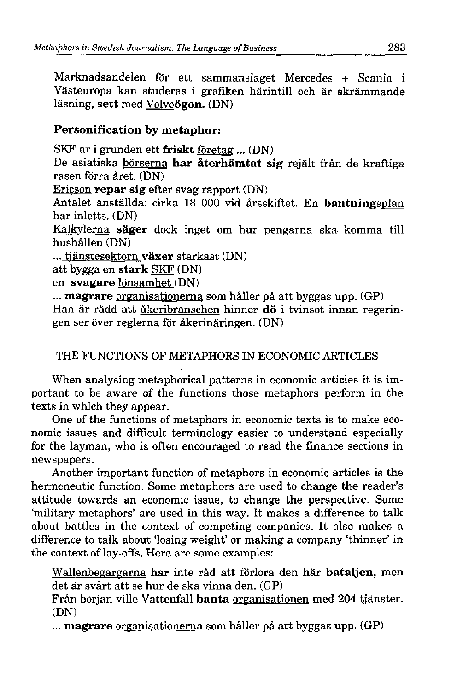Marknadsandelen fór ett sammanslaget Mercedes + Scania i Västeuropa kan studeras i grafiken härintill och är skrämmande läsning, sett med Volvoögon. (DN)

## **Personification by metaphor:**

SKF ar i grunden ett **friskt** fóretag ... (DN)

De asiatiska börserna har återhämtat sig rejält från de kraftiga rasen fórra aret. (DN)

Ericson **repar sig** efter svag rapport (DN)

Antalet anstallda: cirka 18 000 vid arsskiftet. En **bantningsplan**  har inletts. (DN)

Kalkylerna säger dock inget om hur pengarna ska komma till hushallen (DN)

... tianstesektorn **vaxer** starkast (DN)

att bygga en **stark** SKF (DN)

en **syągare** lónsamhet (DN)

**... magrare** organisationerna som haller pa att byggas upp. (GP) Han är rädd att åkeribranschen hinner dö i tvinsot innan regeringen ser over reglerna fór akerinaringen. (DN)

# THE FUNCTIONS OF METAPHORS IN ECONOMIC ARTICLES

When analysing metaphorical patterns in economic articles it is im portant to be aware of the functions those metaphors perform in the texts in which they appear.

One of the functions of metaphors in economic texts is to make economic issues and difficult terminology easier to understand especially for the layman, who is often encouraged to read the finance sections in newspapers.

Another important function of metaphors in economic articles is the hermeneutic function. Some metaphors are used to change the reader's attitude towards an economic issue, to change the perspective. Some 'military metaphors' are used in this way. It makes a difference to talk about battles in the context of competing companies. It also makes a difference to talk about 'losing weight' or making a company 'thinner' in the context of lay-offs. Here are some examples:

Wallenbegargarna har inte rad att fórlora den har **bataljen,** men det ar svart att se hur de ska vinna den. (GP)

Frdn borjan ville Yattenfall **banta** organisationen med 204 tjanster. (DN)

**... magrare** organisationerna som haller pa att byggas upp. (GP)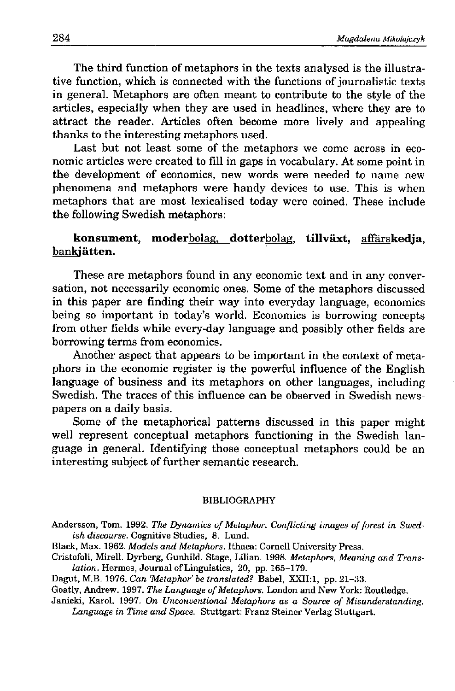The third function of metaphors in the texts analysed is the illustrative function, which is connected with the functions of journalistic texts in generał. Metaphors are often meant to contribute to the style of the articles, especially when they are used in headlines, where they are to attract the reader. Articles often become more lively and appealing thanks to the interesting metaphors used.

Last but not least some of the metaphors we come across in economic articles were created to fili in gaps in yocabulary. At some point in the development of economics, new words were needed to name new phenomena and metaphors were handy devices to use. This is when metaphors that are most lexicalised today were coined. These include the following Swedish metaphors:

konsument, moderbolag, dotterbolag, tillväxt, affärskedia. bankjätten.

These are metaphors found in any economic text and in any conversation, not necessarily economic ones. Some of the metaphors discussed in this paper are finding their way into everyday language, economics being so important in today's world. Economics is borrowing concepts from other fields while every-day language and possibly other fields are borrowing terms from economics.

Another aspect that appears to be important in the context of metaphors in the economic register is the powerful influence of the English language of business and its metaphors on other languages, including Swedish. The traces of this influence can be observed in Swedish newspapers on a daily basis.

Some of the metaphorical patterns discussed in this paper might well represent conceptual metaphors functioning in the Swedish language in generał. Identifying those conceptual metaphors could be an interesting subject of further semantic research.

#### **BIBLIOGRAPH Y**

**Andersson, Tom. 1992.** *The Dynamics of Metaphor. Conflicting images of forest in Swed*ish discourse. Cognitive Studies, 8. Lund.

**Black, Max. 1962.** *Models and Metaphors.* **Ithaca: Cornell University Press .** 

- **Cristofoli, Mirell. Dyrberg, Gunhild. Stage, Lilian . 1998.** *Metaphors, Meaning and Translation.* **Hermes , Journa l of Linguistics , 20, pp. 165-179.**
- **Dagut , M.B.** *1976. Can'Metaphor'be translated?* **Babel, XXIL1 , pp. 21-33.**

**Goatly, Andrew. 1997.** *The Language of Metaphors.* **London and New York: Routledge.** 

**Janicki, Karol. 1997.** *On Unconuentional Metaphors as a Source of Misunderstanding.*  Language in Time and Space. Stuttgart: Franz Steiner Verlag Stuttgart,